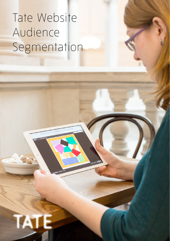## Tate Website  $\Lambda$ udionco Audience Segmentation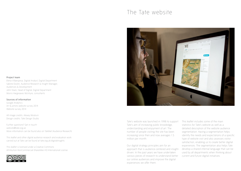### The Tate website



Elena Villaespesa, Digital Analyst, Digital Department Sabine Doolin, Audience Research & Insight Manager, Audiences & Development John Stack, Head of Digital, Digital Department Morris Hargreaves McIntyre, consultants

#### Sources of information

Google Analytics Art & artists website survey 2014 Website survey 2014

All image credits: Alexey Moskvin Design credits: Tate Design Studio

Further questions? Get in touch! website@tate.org.uk More information can be found also on TateNet (Audience Research)

This leaflet and other digital audience research and evaluation work carried out at Tate can be found at tate.org.uk/digitalinsights

This leaflet is licensed under a Creative Commons Attribution-NonCommercial-ShareAlike 4.0 International License.





Tate's website was launched in 1998 to support Tate's aim of increasing public knowledge, understanding and enjoyment of art. The number of people visiting the site has been increasing since then and now averages 1.5 million per month.

Our digital strategy principles aim for an approach that is audience-centered and insightdriven. In the past years we have undertaken various pieces of research to understand better our online audiences and improve the digital experiences we offer them.

This leaflet includes some of the main statistics for Tate's website as well as a detailed description of the website audience segmentation. Having a segmentation helps identify the needs and expectations of a specific type of website visit and also assesses visitor satisfaction, enabling us to create better digital experiences. The segmentation also helps Tate develop a shared internal language that can be used by all departments when thinking about current and future digital initiatives.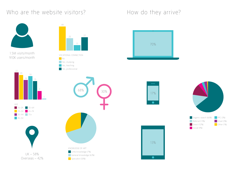### Who are the website visitors? How do they arrive?











KNOWLEDGE OF ART Little knowledge (7%) General knowledge (63%)

Specialist (30%)







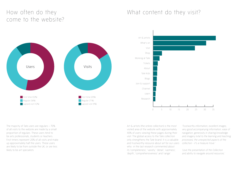### How often do they come to the website?

### What content do they visit?





The majority of Tate users are regulars – 70% of all visits to the website are made by a small proportion of regulars. These users tend to be arts professionals, students or teachers. First timers represent 20% of all visits and make up approximately half the users. These users are likely to be from outside the UK, or are less likely to be art specialists.

Art & artists (the online collection) is the most visited area of the website with approximately 40% of users viewing these pages during their visit. The global access to the Tate collection only strengthens the Tate brand. It is a valuable and trustworthy resource about art for our users who in the last research commented about its 'completeness', 'variety', 'detail', 'vastness', 'depth', 'comprehensiveness' and 'range'.

'*Trustworthy information, excellent images, very good accompanying information, ease of navigation, generosity in sharing knowledge and imagery (vital to the learning and teaching processes), the unexpected aspects of the collection - it's a treasure trove.'*

*'Love the presentation of the Collection and ability to navigate around resources.'*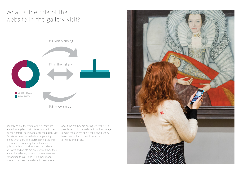## What is the role of the website in the gallery visit?



Roughly half of the visits to the website are related to a gallery visit. Visitors come to the website before, during and after the gallery visit. Our visitors use the website as a planning tool to see what's on, to research general visiting information – opening times, location or gallery facilities – and also to check which artworks and artists are on display. When they are in the galleries, more and more users are connecting to Wi-Fi and using their mobile phones to access the website to learn more

about the art they are seeing. After the visit, people return to the website to look up images, remind themselves about the artworks they have seen or find more information on artworks and artists.

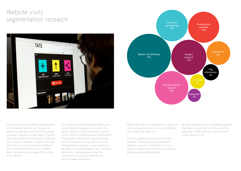### Website visits segmentation research





We have developed a website segmentation of the different types of visit. In order to define the segments, we carried out a piece of research divided into two phases. The first phase consisted of observational testing with users, analytics analysis, in-depth interviews and a short survey on the online collection (Art & artists) that allowed us to establish users' motivations and usage of this section of the website.

This audience research helped to define our second phase of research: a survey for the whole website aimed at knowing our online visitors better and drawing up a segmentation that classifies website visits based primarily on the motivations driving users to the site while taking into account a set of additional variables such as knowledge of art, vocational connection, online behaviour and the connection of a particular website visit with the gallery experience.

Please note that this segmentation is based on visits, and website users can be in a different visit mode on another visit.

The nine segments are: personal interest research, student research, professional research, inspiration, enjoyment, art news, repeat visit planning, first-time visit planning and organisational information.

We have developed a set of "golden questions" that help to classify the visit into one of the segments. These questions can be used in future research work.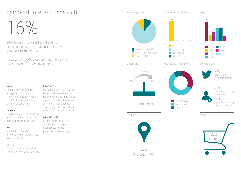## Personal Interest Research

## $16\%$

Intellectually motivated and have no academic or professional connection with visual art or museums

*'To learn about the inspiration that went into the creation of various works of art'*

#### WHY

To learn, gain knowledge, and gather information. They are art hobbyists who come to the website for a learning experience.

#### ARRIVE

Google searches related to art terms and information rather than Tate specific searches.

#### WHAT

Art & artists, search for artworks and artists and read associated text

#### NEEDS

Specific information and to search on the online collection.

#### BEHAVIOUR

Methodical, but don't always know what they are looking for and have a less structured agenda than the other research segments. Navigation is unwavering, and doesn't stray too far from the beaten track.

#### OPPORTUNITY

Create resources, layered content and packaged experiences for their generalist art knowledge.

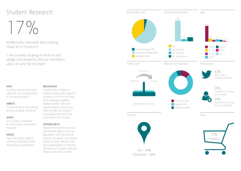## Student Research

## $1/9/2$

Intellectually motivated and studying visual art or museums

*'I am currently studying AS-level art and design and needed to find our information about an artist for my exam'*

#### WHY

To study, research and seek help with arts related school or university projects.

#### ARRIVE

Come directly to Tate website and are a regular audience.

#### WHAT

Art & artists, contextual art information, homework resources.

#### NEEDS

Have the widest range of interests, including articles and research publications.

#### BEHAVIOUR

Students are visiting in a research mode with a specific purpose, so on this visit they aren't looking for gallery related content. They are regular website visitors and they consider the website a valuable and trustworthy resource for their studies.

#### OPPORTUNITY

Improve homework resources and provide opportunities to dig deeper into the existing content. As regular visitors and based on their interests, they are a target group to promote the features to create collection Albums and share content.

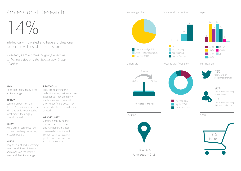## Professional Research

## $14\%$

Intellectually motivated and have a professional connection with visual art or museums

*'Research, I am a professor giving a lecture on Vanessa Bell and the Bloomsbury Group of artists'*

#### WHY

To further their already deep art knowledge

#### ARRIVE

Content-driven, not Tatewill go to whichever website most meets their highly specialist needs

#### WHAT

Art & artists, contextual art content, teaching resources, research papers

#### NEEDS

Very specialist and discerning. Need detail. Broad interests and always on the lookout to extend their knowledge.

#### BEHAVIOUR

driven. Professional researchers seek texts about the collection They are searching the collection using their extensive experience. They are highly methodical and come with a very specific purpose. They artworks.

#### OPPORTUNITY

Continue improving the online collection content and navigation. Increase discoverability of in-depth content such as research publications and improve teaching resources.

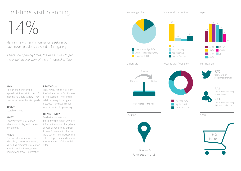## First-time visit planning

## $14\%$

Planning a visit and information seeking but have never previously visited a Tate gallery

*'Check the opening times, the easiest way to get there, get an overview of the art housed at Tate'*

#### WHY

To plan their first-time or lapsed visit (no visit in past 12 months) to a Tate gallery. They look for an essential visit guide. relatively easy to navigate

#### ARRIVE

Search engines.

#### **WHAT**

General visitor information, what's on display and current exhibitions.

#### NEEDS

They need information about what they can expect to see, as well as practical information offer. about opening times, prices, parking and travel information.

#### BEHAVIOUR

They rarely venture far from the 'What's on' or 'Visit' areas of the website. They find it because they have limited ways in which to go wrong.

#### OPPORTUNITY

To design an easy and efficient visit section with key information about the gallery as well as what they expect to see. To create tips for the visit, content to introduce the different galleries and increase the awareness of the mobile

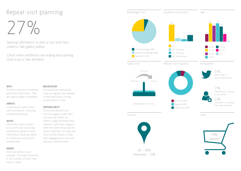## Repeat visit planning

 $27^{\circ}$ 

Seeking information to plan a visit and have visited a Tate gallery before

*'Check when exhibitions are ending and opening times (I am a Tate Member)'*

#### WHY

To find to the point exhibition and event information. They are regular gallery attendees.

#### ARRIVE

Connected to Tate's email communications, including membership emails.

#### WHAT

Information about what's on (current and upcoming exhibitions), general visitor information, booking tickets for exhibitions and events, membership.

#### NEEDS

The most efficient visit possible. They want economy in the number of clicks they have to make.

#### BEHAVIOUR

Focussed and methodical. They are regular Tate website visitors and have a strong emotional tie to Tate.

#### OPPORTUNITY

To provide efficient and intuitive pages to plan their visit and see what's on. There is a gap between their interest in and their usage of both the online shop and the online collection. To make the most of their loyalty to Tate with engaging post-visit and advocacy opportunities.

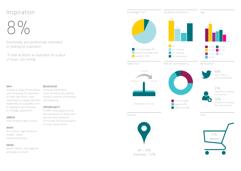### Inspiration

# 8%

Emotionally and aesthetically motivated or looking for inspiration

*'To look at photos as inspiration for a piece of music I am writing'*

#### WHY

Includes a range of motivations Some are methodical, such as looking for inspiration for their own artistic work, searching for a largely aesthetic and searching. experience (virtual gallery visit) or hoping for an emotional or nostalgic experience.

#### ARRIVE

From multiple traffic sources.

#### WHAT

Art & artists, high-resolution images, videos, interactive features.

#### NEEDS

Broad interests, open agenda and pleasure-driven.

#### BEHAVIOUR

some are led by the website. Employ a mixture of browsing

#### OPPORTUNITY

To offer browsing and visualled experiences to allow them discover and explore art. To increase the discoverability of some visual content.

Knowledge of art Age Vocational connection Website visit frequency Participation Shop **Little knowledge (7%)** General knowledge (62%) Specialist (31%) 19 26  $13 \frac{15}{15}$ 10 First time (26%) Regular (67%) Lapsed visit (8%) 48% follow Tate on social media/email 21% interested in creating a user profile 30% interested in creating their own collection Location 21% Gallery visit 25% related to the visit 12% before 12% after 1% during | 16–24 | 55–64 <mark>25–34 ■ 65–74</mark> 35–44 75+  $-45-54$ 35 40 24 16 No Yes, studying Yes, teaching Yes, professional

UK – 43% Overseas – 57% interest

1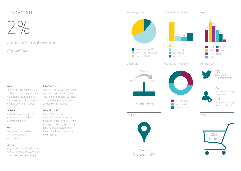## Enjoyment

2%

Entertainment or socially motivated

*'Play Wondermind'*

#### WHY

To have fun, play games (e.g. on Tate Kids), and participate in quizzes or competitions. They also search for content to share with their friends.

#### ARRIVE

A social audience and may arrive via social media recommendations

#### WHAT

Games, quizzes, video, interactives, social media activities

#### NEEDS

Very limited set of needs, come with low expectations and don't know what they are looking for

#### BEHAVIOUR

Their visit is casual, unfocused and they visit very few pages. They browse through sections of the website at random and are led by the website.

#### OPPORTUNITY

Create games and entertainment experiences to enjoy art online, improve their journey by taking them to the fun and social features so they share the content with their friends.

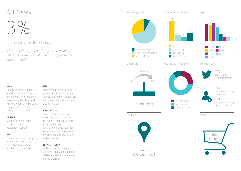## Art News

# 3%

#### Art news and trends motivated

*'I love Tate but I am out of England. The website helps me to keep up with the most updated info and art trends'*

#### WHY

To stay ahead of the curve and discover what's new in exhibitions. They consider art essential to their lives and visit the website for personal enjoyment as they have a hobby or interest in art.

#### ARRIVE

Straight to the website, but also through newspaper websites.

#### WHAT

Interests are mixed, ranging from what's on (mainly exhibitions) to reading articles, blogs and news.

#### NEEDS

What's on, but not necessarily with a view to a visit. Articles, videos, information about Tate and the online collection are also of interest.

#### BEHAVIOUR

Directional and selective, they only visit the parts of the website that allow them to know the latest about what's going on to fuel their knowledge. They have visited the galleries and are regular website visitors.

#### OPPORTUNITY

To help them to navigate to art news, blogs and exhibition related content that they may not be aware of.

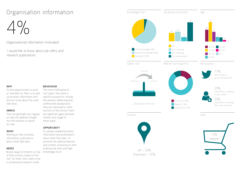## Organisation information

# $4%$

### Organisational information motivated

*'I would like to know about job offers and research publications'*

#### WHY

To find opportunities to work or volunteer for Tate, or to look up business information and find out more about the work Tate does.

#### ARRIVE

They are generally very regular, are significant gaps between so type the address straight into the browser or search for Tate.

#### WHAT

Working at Tate, business information, publications about what Tate does

#### NEEDS

Broad range of interests on top knowledge of art. of their primary mode on this visit. On other visits, likely to be in professional research mode.

#### BEHAVIOUR

The most methodical of visit types, they have a specific purpose for visiting the website. Reflecting their professional background, they are interested in other sections of the site but there interest and usage of these areas.

#### **OPPORTUNITY**

To upload updated business information and publications about what Tate does. To promote the website features and content connected to their professional work and high